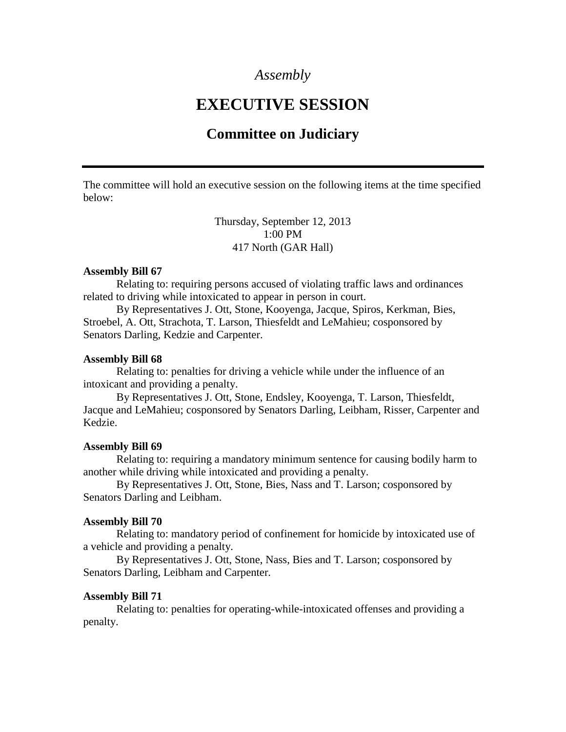## *Assembly*

# **EXECUTIVE SESSION**

# **Committee on Judiciary**

The committee will hold an executive session on the following items at the time specified below:

> Thursday, September 12, 2013 1:00 PM 417 North (GAR Hall)

#### **Assembly Bill 67**

Relating to: requiring persons accused of violating traffic laws and ordinances related to driving while intoxicated to appear in person in court.

By Representatives J. Ott, Stone, Kooyenga, Jacque, Spiros, Kerkman, Bies, Stroebel, A. Ott, Strachota, T. Larson, Thiesfeldt and LeMahieu; cosponsored by Senators Darling, Kedzie and Carpenter.

#### **Assembly Bill 68**

Relating to: penalties for driving a vehicle while under the influence of an intoxicant and providing a penalty.

By Representatives J. Ott, Stone, Endsley, Kooyenga, T. Larson, Thiesfeldt, Jacque and LeMahieu; cosponsored by Senators Darling, Leibham, Risser, Carpenter and Kedzie.

#### **Assembly Bill 69**

Relating to: requiring a mandatory minimum sentence for causing bodily harm to another while driving while intoxicated and providing a penalty.

By Representatives J. Ott, Stone, Bies, Nass and T. Larson; cosponsored by Senators Darling and Leibham.

### **Assembly Bill 70**

Relating to: mandatory period of confinement for homicide by intoxicated use of a vehicle and providing a penalty.

By Representatives J. Ott, Stone, Nass, Bies and T. Larson; cosponsored by Senators Darling, Leibham and Carpenter.

#### **Assembly Bill 71**

Relating to: penalties for operating-while-intoxicated offenses and providing a penalty.